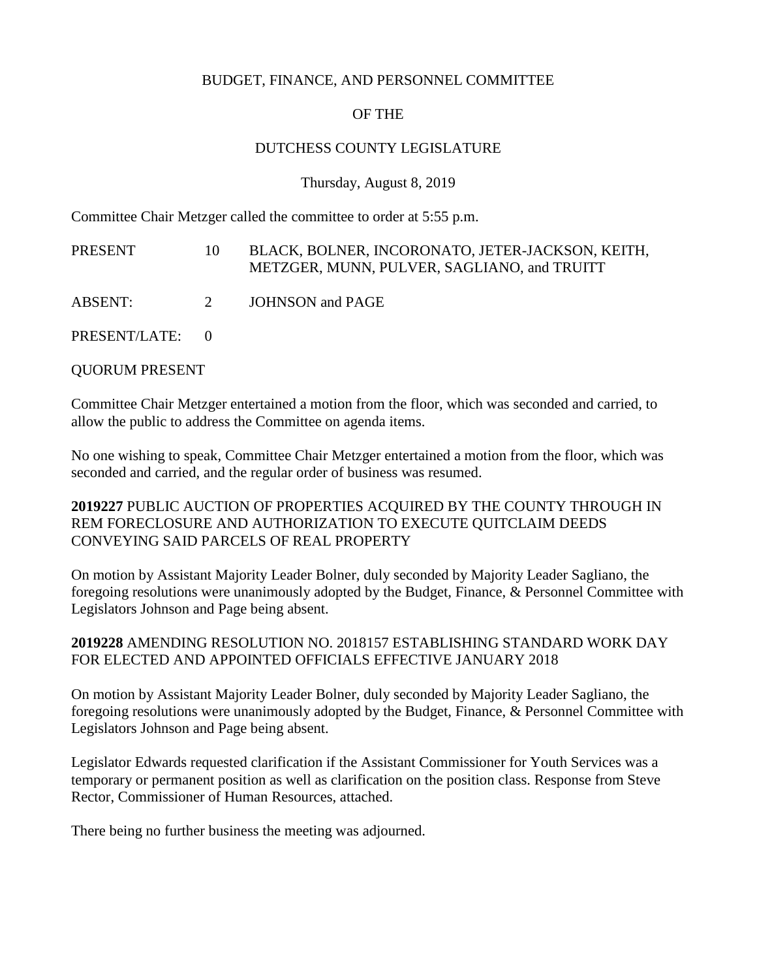### BUDGET, FINANCE, AND PERSONNEL COMMITTEE

# OF THE

## DUTCHESS COUNTY LEGISLATURE

Thursday, August 8, 2019

Committee Chair Metzger called the committee to order at 5:55 p.m.

| PRESENT         | 10 | BLACK, BOLNER, INCORONATO, JETER-JACKSON, KEITH,<br>METZGER, MUNN, PULVER, SAGLIANO, and TRUITT |
|-----------------|----|-------------------------------------------------------------------------------------------------|
| ABSENT:         | 2  | JOHNSON and PAGE                                                                                |
| PRESENT/LATE: 0 |    |                                                                                                 |

QUORUM PRESENT

Committee Chair Metzger entertained a motion from the floor, which was seconded and carried, to allow the public to address the Committee on agenda items.

No one wishing to speak, Committee Chair Metzger entertained a motion from the floor, which was seconded and carried, and the regular order of business was resumed.

**2019227** PUBLIC AUCTION OF PROPERTIES ACQUIRED BY THE COUNTY THROUGH IN REM FORECLOSURE AND AUTHORIZATION TO EXECUTE QUITCLAIM DEEDS CONVEYING SAID PARCELS OF REAL PROPERTY

On motion by Assistant Majority Leader Bolner, duly seconded by Majority Leader Sagliano, the foregoing resolutions were unanimously adopted by the Budget, Finance, & Personnel Committee with Legislators Johnson and Page being absent.

# **2019228** AMENDING RESOLUTION NO. 2018157 ESTABLISHING STANDARD WORK DAY FOR ELECTED AND APPOINTED OFFICIALS EFFECTIVE JANUARY 2018

On motion by Assistant Majority Leader Bolner, duly seconded by Majority Leader Sagliano, the foregoing resolutions were unanimously adopted by the Budget, Finance, & Personnel Committee with Legislators Johnson and Page being absent.

Legislator Edwards requested clarification if the Assistant Commissioner for Youth Services was a temporary or permanent position as well as clarification on the position class. Response from Steve Rector, Commissioner of Human Resources, attached.

There being no further business the meeting was adjourned.